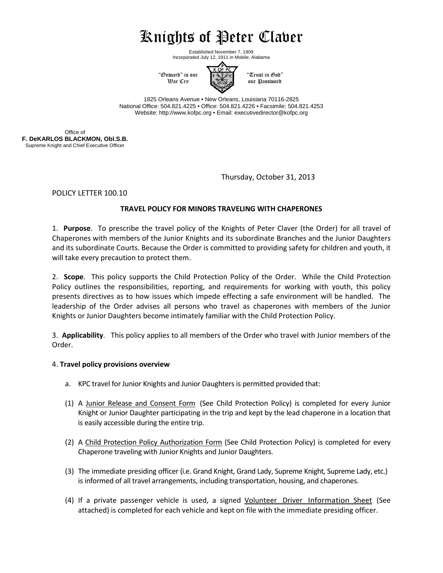# Knights of Peter Claver

K OF PC

Established November 7, 1909 Incorporated July 12, 1911 in Mobile, Alabama



1825 Orleans Avenue • New Orleans, Louisiana 70116-2825 National Office: 504.821.4225 • Office: 504.821.4226 • Facsimile: 504.821.4253 Website: http://www.kofpc.org • Email: executivedirector@kofpc.org

Office of **F. DeKARLOS BLACKMON, Obl.S.B.** Supreme Knight and Chief Executive Officer

Thursday, October 31, 2013

POLICY LETTER 100.10

## **TRAVEL POLICY FOR MINORS TRAVELING WITH CHAPERONES**

1. **Purpose**. To prescribe the travel policy of the Knights of Peter Claver (the Order) for all travel of Chaperones with members of the Junior Knights and its subordinate Branches and the Junior Daughters and its subordinate Courts. Because the Order is committed to providing safety for children and youth, it will take every precaution to protect them.

2. **Scope**. This policy supports the Child Protection Policy of the Order. While the Child Protection Policy outlines the responsibilities, reporting, and requirements for working with youth, this policy presents directives as to how issues which impede effecting a safe environment will be handled. The leadership of the Order advises all persons who travel as chaperones with members of the Junior Knights or Junior Daughters become intimately familiar with the Child Protection Policy.

3. **Applicability**. This policy applies to all members of the Order who travel with Junior members of the Order.

### 4. **Travel policy provisions overview**

- a. KPC travel for Junior Knights and Junior Daughters is permitted provided that:
- (1) A Junior Release and Consent Form (See Child Protection Policy) is completed for every Junior Knight or Junior Daughter participating in the trip and kept by the lead chaperone in a location that is easily accessible during the entire trip.
- (2) A Child Protection Policy Authorization Form (See Child Protection Policy) is completed for every Chaperone traveling with Junior Knights and Junior Daughters.
- (3) The immediate presiding officer (i.e. Grand Knight, Grand Lady, Supreme Knight, Supreme Lady, etc.) is informed of all travel arrangements, including transportation, housing, and chaperones.
- (4) If a private passenger vehicle is used, a signed Volunteer Driver Information Sheet (See attached) is completed for each vehicle and kept on file with the immediate presiding officer.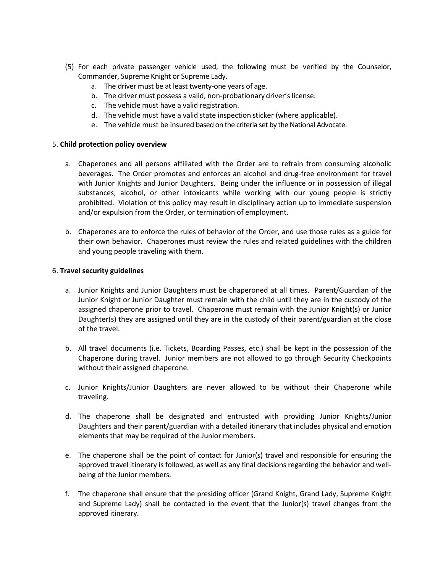- (5) For each private passenger vehicle used, the following must be verified by the Counselor, Commander, Supreme Knight or Supreme Lady.
	- a. The driver must be at least twenty-one years of age.
	- b. The driver must possess a valid, non-probationary driver's license.
	- c. The vehicle must have a valid registration.
	- d. The vehicle must have a valid state inspection sticker (where applicable).
	- e. The vehicle must be insured based on the criteria set by the National Advocate.

#### 5. **Child protection policy overview**

- a. Chaperones and all persons affiliated with the Order are to refrain from consuming alcoholic beverages. The Order promotes and enforces an alcohol and drug-free environment for travel with Junior Knights and Junior Daughters. Being under the influence or in possession of illegal substances, alcohol, or other intoxicants while working with our young people is strictly prohibited. Violation of this policy may result in disciplinary action up to immediate suspension and/or expulsion from the Order, or termination of employment.
- b. Chaperones are to enforce the rules of behavior of the Order, and use those rules as a guide for their own behavior. Chaperones must review the rules and related guidelines with the children and young people traveling with them.

#### 6. **Travel security guidelines**

- a. Junior Knights and Junior Daughters must be chaperoned at all times. Parent/Guardian of the Junior Knight or Junior Daughter must remain with the child until they are in the custody of the assigned chaperone prior to travel. Chaperone must remain with the Junior Knight(s) or Junior Daughter(s) they are assigned until they are in the custody of their parent/guardian at the close of the travel.
- b. All travel documents (i.e. Tickets, Boarding Passes, etc.) shall be kept in the possession of the Chaperone during travel. Junior members are not allowed to go through Security Checkpoints without their assigned chaperone.
- c. Junior Knights/Junior Daughters are never allowed to be without their Chaperone while traveling.
- d. The chaperone shall be designated and entrusted with providing Junior Knights/Junior Daughters and their parent/guardian with a detailed itinerary that includes physical and emotion elements that may be required of the Junior members.
- e. The chaperone shall be the point of contact for Junior(s) travel and responsible for ensuring the approved travel itinerary is followed, as well as any final decisions regarding the behavior and wellbeing of the Junior members.
- f. The chaperone shall ensure that the presiding officer (Grand Knight, Grand Lady, Supreme Knight and Supreme Lady) shall be contacted in the event that the Junior(s) travel changes from the approved itinerary.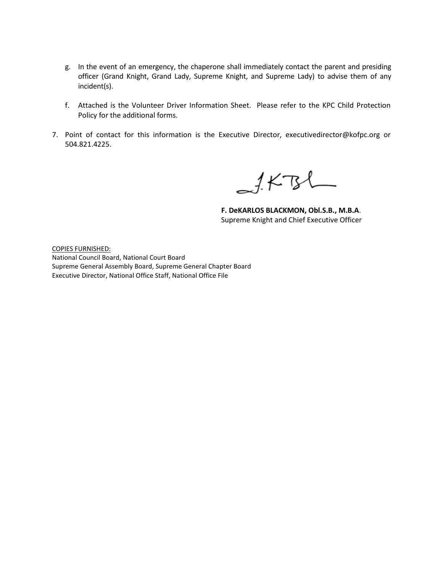- g. In the event of an emergency, the chaperone shall immediately contact the parent and presiding officer (Grand Knight, Grand Lady, Supreme Knight, and Supreme Lady) to advise them of any incident(s).
- f. Attached is the Volunteer Driver Information Sheet. Please refer to the KPC Child Protection Policy for the additional forms.
- 7. Point of contact for this information is the Executive Director, executivedirector@kofpc.org or 504.821.4225.

 $151$ 

**F. DeKARLOS BLACKMON, Obl.S.B., M.B.A**. Supreme Knight and Chief Executive Officer

COPIES FURNISHED: National Council Board, National Court Board Supreme General Assembly Board, Supreme General Chapter Board Executive Director, National Office Staff, National Office File